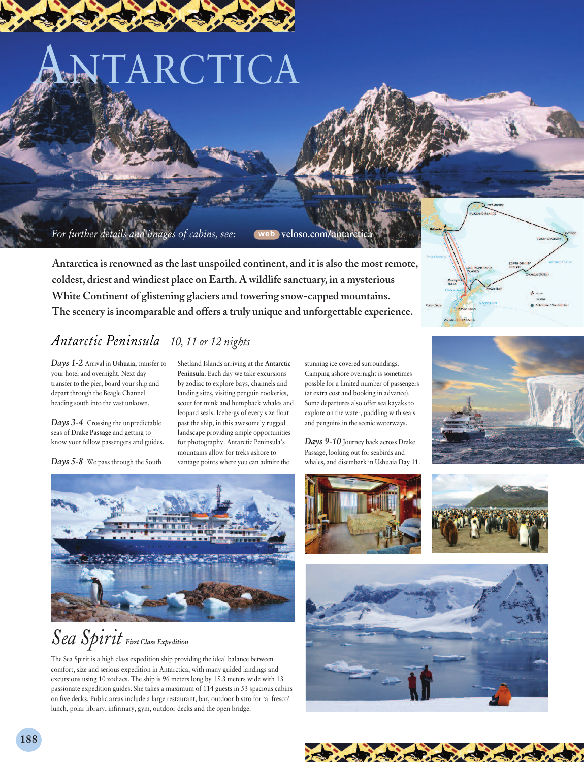# TARCTICA

*For further details and images of cabins, see:* **web veloso.com/antarctica**

**Antarctica is renowned as the last unspoiled continent, and it is also the most remote, coldest, driest and windiest place on Earth. A wildlife sanctuary, in a mysterious White Continent of glistening glaciers and towering snow-capped mountains. The scenery is incomparable and offers a truly unique and unforgettable experience.**



#### *Antarctic Peninsula 10, 11 or 12 nights*

*Days 1-2* Arrival in **Ushuaia,** transfer to your hotel and overnight. Next day transfer to the pier, board your ship and depart through the Beagle Channel heading south into the vast unkown.

*Days 3-4* Crossing the unpredictable seas of **Drake Passage** and getting to know your fellow passengers and guides.

*Days 5-8* We pass through the South

Shetland Islands arriving at the **Antarctic Peninsula.** Each day we take excursions by zodiac to explore bays, channels and landing sites, visiting penguin rookeries, scout for mink and humpback whales and leopard seals. Icebergs of every size float past the ship, in this awesomely rugged landscape providing ample opportunities for photography. Antarctic Peninsula's mountains allow for treks ashore to vantage points where you can admire the

stunning ice-covered surroundings. Camping ashore overnight is sometimes possble for a limited number of passengers (at extra cost and booking in advance). Some departures also offer sea kayaks to explore on the water, paddling with seals and penguins in the scenic waterways.

*Days 9-10* Journey back across Drake Passage, looking out for seabirds and whales, and disembark in Ushuaia **Day 11**.





## *Sea Spirit First Class Expedition*

The Sea Spirit is a high class expedition ship providing the ideal balance between comfort, size and serious expedition in Antarctica, with many guided landings and excursions using 10 zodiacs. The ship is 96 meters long by 15.3 meters wide with 13 passionate expedition guides. She takes a maximum of 114 guests in 53 spacious cabins on five decks. Public areas include a large restaurant, bar, outdoor bistro for 'al fresco' lunch, polar library, infirmary, gym, outdoor decks and the open bridge.